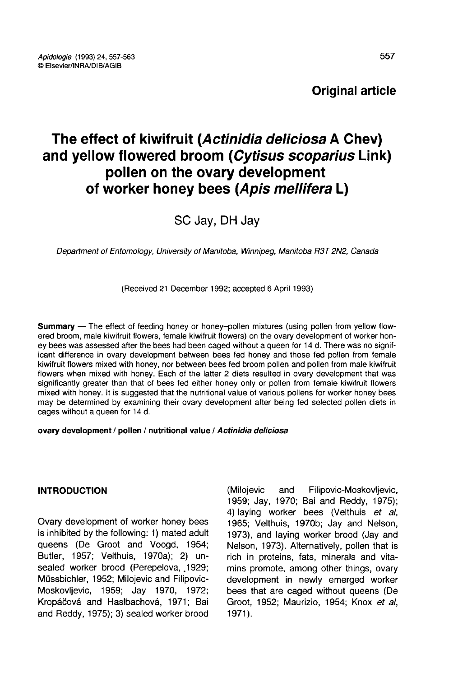Original article

# The effect of kiwifruit (Actinidia deliciosa A Chev) and yellow flowered broom (Cytisus scoparius Link) pollen on the ovary development of worker honey bees (Apis mellifera L)

SC Jay, DH Jay

Department of Entomology, University of Manitoba, Winnipeg, Manitoba R3T 2N2, Canada

(Received 21 December 1992; accepted 6 April 1993)

Summary — The effect of feeding honey or honey-pollen mixtures (using pollen from yellow flowered broom, male kiwifruit flowers, female kiwifruit flowers) on the ovary development of worker honey bees was assessed after the bees had been caged without a queen for 14 d. There was no significant difference in ovary development between bees fed honey and those fed pollen from female kiwifruit flowers mixed with honey, nor between bees fed broom pollen and pollen from male kiwifruit flowers when mixed with honey. Each of the latter 2 diets resulted in ovary development that was significantly greater than that of bees fed either honey only or pollen from female kiwifruit flowers mixed with honey. It is suggested that the nutritional value of various pollens for worker honey bees may be determined by examining their ovary development after being fed selected pollen diets in cages without a queen for 14 d.

#### ovary development / pollen / nutritional value / Actinidia deliciosa

# **INTRODUCTION**

Ovary development of worker honey bees is inhibited by the following: 1) mated adult queens (De Groot and Voogd, 1954; Butler, 1957; Velthuis, 1970a); 2) unsealed worker brood (Perepelova, 1929; Müssbichler, 1952; Milojevic and Filipovic-Moskovljevic, 1959; Jay 1970, 1972; Kropáčová and Haslbachová, 1971; Bai and Reddy, 1975); 3) sealed worker brood

(Milojevic and Filipovic-Moskovljevic, 1959; Jay, 1970; Bai and Reddy, 1975); 4) laying worker bees (Velthuis et al, 1965; Velthuis, 1970b; Jay and Nelson, 1973), and laying worker brood (Jay and Nelson, 1973). Alternatively, pollen that is rich in proteins, fats, minerals and vitamins promote, among other things, ovary development in newly emerged worker bees that are caged without queens (De Groot, 1952; Maurizio, 1954; Knox et al, 1971).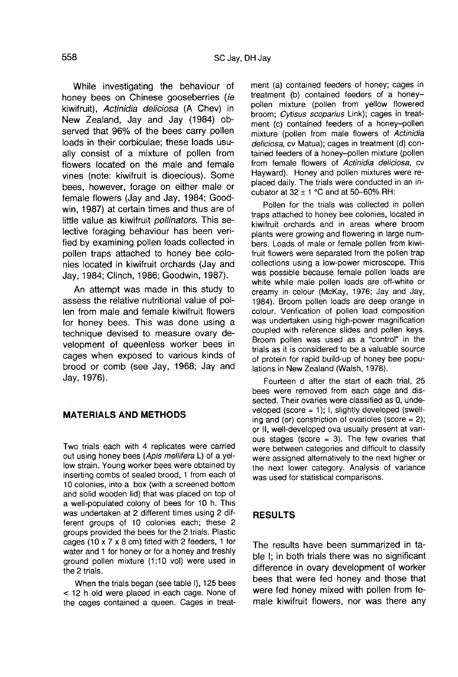While investigating the behaviour of honey bees on Chinese gooseberries (ie kiwifruit), Actinidia deliciosa (A Chev) in New Zealand, Jay and Jay (1984) observed that 96% of the bees carry pollen loads in their corbiculae; these loads usually consist of a mixture of pollen from flowers located on the male and female vines (note: kiwifruit is dioecious). Some bees, however, forage on either male or female flowers (Jay and Jay, 1984; Goodwin, 1987) at certain times and thus are of little value as kiwifruit pollinators. This selective foraging behaviour has been verified by examining pollen loads collected in pollen traps attached to honey bee colonies located in kiwifruit orchards (Jay and Jay, 1984; Clinch, 1986; Goodwin, 1987).

An attempt was made in this study to assess the relative nutritional value of pollen from male and female kiwifruit flowers for honey bees. This was done using a technique devised to measure ovary development of queenless worker bees in cages when exposed to various kinds of brood or comb (see Jay, 1968; Jay and Jay, 1976).

#### MATERIALS AND METHODS

Two trials each with 4 replicates were carried out using honey bees (Apis mellifera L) of a yellow strain. Young worker bees were obtained by inserting combs of sealed brood, 1 from each of 10 colonies, into a box (with a screened bottom and solid wooden lid) that was placed on top of a well-populated colony of bees for 10 h. This was undertaken at 2 different times using 2 different groups of 10 colonies each; these 2 groups provided the bees for the 2 trials. Plastic cages (10 x 7 x 8 cm) fitted with 2 feeders, 1 for water and 1 for honey or for a honey and freshly ground pollen mixture (1:10 vol) were used in the 2 trials.

When the trials began (see table I), 125 bees < 12 h old were placed in each cage. None of the cages contained a queen. Cages in treatment (a) contained feeders of honey; cages in treatment (b) contained feeders of a honeypollen mixture (pollen from yellow flowered broom; Cytisus scoparius Link); cages in treatment (c) contained feeders of a honey-pollen mixture (pollen from male flowers of Actinidia deliciosa, cv Matua); cages in treatment (d) contained feeders of a honey-pollen mixture (pollen from female flowers of Actinidia deliciosa, cv Hayward). Honey and pollen mixtures were replaced daily. The trials were conducted in an incubator at  $32 \pm 1$  °C and at 50-60% RH:

Pollen for the trials was collected in pollen traps attached to honey bee colonies, located in kiwifruit orchards and in areas where broom plants were growing and flowering in large numbers. Loads of male or female pollen from kiwifruit flowers were separated from the pollen trap collections using a low-power microscope. This was possible because female pollen loads are white while male pollen loads are off-white or creamy in colour (McKay, 1976; Jay and Jay, 1984). Broom pollen loads are deep orange in colour. Verification of pollen load composition was undertaken using high-power magnification coupled with reference slides and pollen keys. Broom pollen was used as a "control" in the trials as it is considered to be a valuable source of protein for rapid build-up of honey bee populations in New Zealand (Walsh, 1978).

Fourteen d after the start of each trial, 25 bees were removed from each cage and dissected. Their ovaries were classified as 0, undeveloped (score  $= 1$ ); I, slightly developed (swelling and (or) constriction of ovarioles (score  $= 2$ ); or II, well-developed ova usually present at various stages (score  $= 3$ ). The few ovaries that were between categories and difficult to classify were assigned alternatively to the next higher or the next lower category. Analysis of variance was used for statistical comparisons.

## RESULTS

The results have been summarized in table I; in both trials there was no significant difference in ovary development of worker bees that were fed honey and those that were fed honey mixed with pollen from female kiwifruit flowers, nor was there any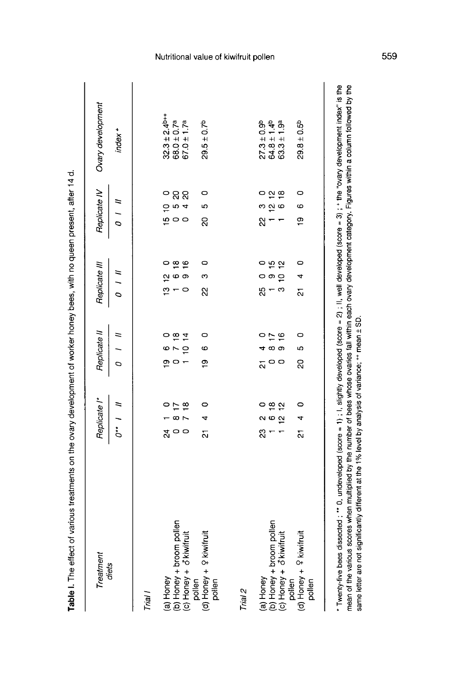| Treatment                                                                                                    | Replicate I*                                               |                   | Replicate II                                |                                                      |                         | Replicate III                                                                                                           |                   | Replicate IV                                                      | Ovary development                                                   |  |
|--------------------------------------------------------------------------------------------------------------|------------------------------------------------------------|-------------------|---------------------------------------------|------------------------------------------------------|-------------------------|-------------------------------------------------------------------------------------------------------------------------|-------------------|-------------------------------------------------------------------|---------------------------------------------------------------------|--|
| diets                                                                                                        | $0^{***}$                                                  |                   |                                             |                                                      |                         | $\begin{array}{c c} & \rightarrow & \rightarrow & \rightarrow \\ & \rightarrow & \rightarrow & \rightarrow \end{array}$ | 01 N              |                                                                   | $index +$                                                           |  |
| Trial I                                                                                                      |                                                            |                   |                                             |                                                      |                         |                                                                                                                         |                   |                                                                   |                                                                     |  |
|                                                                                                              |                                                            |                   |                                             |                                                      |                         |                                                                                                                         |                   |                                                                   |                                                                     |  |
|                                                                                                              | $\frac{a}{2}$ 0 0                                          | $7870$<br>0 1 2 9 | $\frac{1}{6}$ o –                           | $0 74$<br>$0 74$                                     | $\frac{1}{2}$ – $\circ$ | ပ်<br>ဝင်္ကာ                                                                                                            | $\frac{1}{6}$ 0 0 | ಂ ಜ ಜ<br>$\tilde{\sigma}$ re 4                                    | $32.3 \pm 2.4$ <sup>b++</sup><br>68.0 $\pm$ 0.7a<br>67.0 $\pm$ 1.7a |  |
|                                                                                                              |                                                            |                   |                                             |                                                      |                         |                                                                                                                         |                   |                                                                   |                                                                     |  |
| (a) Honey<br>(b) Honey + broom pollen<br>(c) Honey + <i>δ</i> kiwifruit<br>pollen<br>(d) Honey + ♀ kiwifruit | 4<br>21                                                    | $\circ$           | $\circ$<br>$\overline{9}$                   | $\circ$                                              | S2                      | $\circ$<br>ო                                                                                                            | g                 | $\circ$<br>$\circ$                                                | $29.5 \pm 0.7^{b}$                                                  |  |
| Trial 2                                                                                                      |                                                            |                   |                                             |                                                      |                         |                                                                                                                         |                   |                                                                   |                                                                     |  |
|                                                                                                              |                                                            |                   |                                             |                                                      |                         |                                                                                                                         |                   |                                                                   | $27.3 \pm 0.9b$<br>64.8 ± 1.4 <sup>b</sup><br>63.3 ± 1.9a           |  |
|                                                                                                              | လ <mark>ဖ</mark> ည<br>$\mathbb{S}^{\mathsf{r}-\mathsf{r}}$ | ဝစ္စ္က            | $4\omega\omega$<br>$\frac{1}{\sqrt{2}}$ 0 0 | $\circ \stackrel{\sim}{\sim} \stackrel{\sim}{\circ}$ | $\omega - \omega$       | <b>០ ក់ ភ</b><br>၀ ၈ ၃                                                                                                  | $\alpha$ –        | $\circ$ $\stackrel{\sim}{\sim}$ $\stackrel{\sim}{\sim}$<br>က ည္ ဖ |                                                                     |  |
|                                                                                                              |                                                            |                   |                                             |                                                      |                         |                                                                                                                         |                   |                                                                   |                                                                     |  |
| (a) Honey<br>(b) Honey + broom pollen<br>(c) Honey + <i>3</i> kiwifruit<br>pollen<br>(d) Honey + ♀ kiwifruit | $\overline{a}$<br>$\overline{\mathbf{c}}$                  | $\circ$           | Ю<br>20                                     | 0                                                    | $\overline{\mathbf{c}}$ | $\circ$<br>$\overline{a}$                                                                                               | ë                 | $\circ$<br>$\circ$                                                | $29.8 \pm 0.5^{b}$                                                  |  |
|                                                                                                              |                                                            |                   |                                             |                                                      |                         |                                                                                                                         |                   |                                                                   |                                                                     |  |

Table I. The effect of various treatments on the ovary development of worker honey bees, with no queen present, after 14 d.

\* Twenty-five bees dissected : \*\* 0, undeveloped (score = 1) ; I, slightly developed (score = 2) ; II, well developed (score = 3) ; + the "ovary development index" is the mean of the various scores when multiplied by the number of bees whose ovaries fall within each ovary development category. Figures within a column followed by the same letter are not significantly different at the 1% level by analysis of variance; <sup>++</sup> mean ± SD.

#### Nutritional value of kiwifruit pollen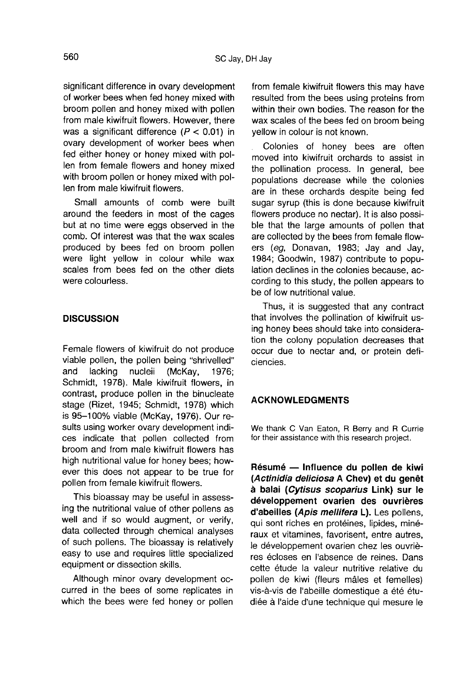significant difference in ovary development of worker bees when fed honey mixed with broom pollen and honey mixed with pollen from male kiwifruit flowers. However, there was a significant difference  $(P < 0.01)$  in ovary development of worker bees when fed either honey or honey mixed with pollen from female flowers and honey mixed with broom pollen or honey mixed with pollen from male kiwifruit flowers.

Small amounts of comb were built around the feeders in most of the cages but at no time were eggs observed in the comb. Of interest was that the wax scales produced by bees fed on broom pollen were light yellow in colour while wax scales from bees fed on the other diets were colourless.

# **DISCUSSION**

Female flowers of kiwifruit do not produce viable pollen, the pollen being "shrivelled"<br>and lacking nucleii (McKay, 1976; (McKay, 1976; Schmidt, 1978). Male kiwifruit flowers, in contrast, produce pollen in the binucleate stage (Rizet, 1945; Schmidt, 1978) which is 95-100% viable (McKay, 1976). Our results using worker ovary development indices indicate that pollen collected from broom and from male kiwifruit flowers has high nutritional value for honey bees; however this does not appear to be true for pollen from female kiwifruit flowers.

This bioassay may be useful in assessing the nutritional value of other pollens as well and if so would augment, or verify, data collected through chemical analyses of such pollens. The bioassay is relatively easy to use and requires little specialized equipment or dissection skills.

Although minor ovary development occurred in the bees of some replicates in which the bees were fed honey or pollen from female kiwifruit flowers this may have resulted from the bees using proteins from within their own bodies. The reason for the wax scales of the bees fed on broom being yellow in colour is not known.

Colonies of honey bees are often moved into kiwifruit orchards to assist in the pollination process. In general, bee populations decrease while the colonies are in these orchards despite being fed sugar syrup (this is done because kiwifruit flowers produce no nectar). It is also possible that the large amounts of pollen that are collected by the bees from female flowers (eg, Donavan, 1983; Jay and Jay, 1984; Goodwin, 1987) contribute to population declines in the colonies because, according to this study, the pollen appears to be of low nutritional value.

Thus, it is suggested that any contract that involves the pollination of kiwifruit using honey bees should take into consideration the colony population decreases that occur due to nectar and, or protein deficiencies.

## ACKNOWLEDGMENTS

We thank C Van Eaton, R Berry and R Currie for their assistance with this research project.

Résumé — Influence du pollen de kiwi (Actinidia deliciosa A Chev) et du genêt à balai (Cytisus scoparius Link) sur le développement ovarien des ouvrières d'abeilles (Apis mellifera L). Les pollens, qui sont riches en protéines, lipides, minéraux et vitamines, favorisent, entre autres, le développement ovarien chez les ouvrières écloses en l'absence de reines. Dans cette étude la valeur nutritive relative du pollen de kiwi (fleurs mâles et femelles) vis-à-vis de l'abeille domestique a été étudiée à l'aide d'une technique qui mesure le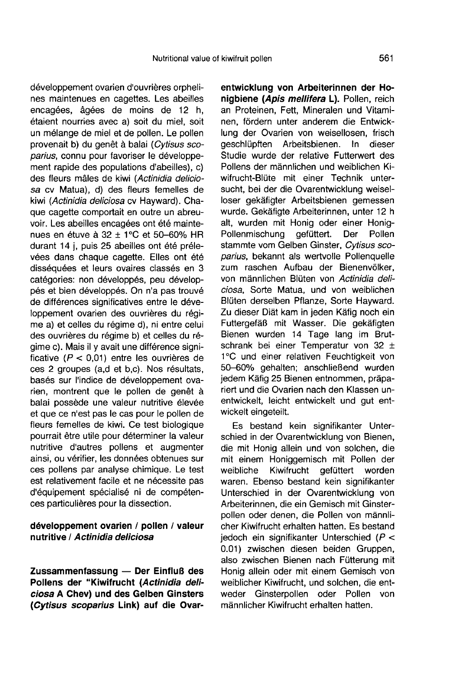développement ovarien d'ouvrières orpheli nes maintenues en cagettes. Les abeilles encagées, âgées de moins de 12 h, étaient nourries avec a) soit du miel, soit un mélange de miel et de pollen. Le pollen provenait b) du genêt à balai (Cytisus scoparius, connu pour favoriser le développement rapide des populations d'abeilles), c) des fleurs mâles de kiwi (Actinidia deliciosa cv Matua), d) des fleurs femelles de kiwi (Actinidia deliciosa cv Hayward). Chaque cagette comportait en outre un abreuvoir. Les abeilles encagées ont été maintenues en étuve à 32 ± 1°C et 50-60% HR durant 14 j, puis 25 abeilles ont été prélevées dans chaque cagette. Elles ont été disséquées et leurs ovaires classés en 3 catégories: non développés, peu développés et bien développés. On n'a pas trouvé de différences significatives entre le déve-<br>loppement ovarien des ouvrières du régime a) et celles du régime d), ni entre celui des ouvrières du régime b) et celles du régime c). Mais il y avait une différence significative ( $P < 0.01$ ) entre les ouvrières de ces 2 groupes (a,d et b,c). Nos résultats, basés sur l'indice de développement ovarien, montrent que le pollen de genêt à balai possède une valeur nutritive élevée et que ce n'est pas le cas pour le pollen de fleurs femelles de kiwi. Ce test biologique pourrait être utile pour déterminer la valeur nutritive d'autres pollens et augmenter ainsi, ou vérifier, les données obtenues sur ces pollens par analyse chimique. Le test est relativement facile et ne nécessite pas d'équipement spécialisé ni de compéten ces particulières pour la dissection.

# développement ovarien / pollen / valeur nutritive / Actinidia deliciosa

Zussammenfassung — Der Einfluß des Pollens der "Kiwifrucht (Actinidia deliciosa A Chev) und des Gelben Ginsters (Cytisus scoparius Link) auf die Ovarentwicklung von Arbeiterinnen der Honigbiene (Apis mellifera L). Pollen, reich an Proteinen, Fett, Mineralen und Vitaminen, fördern unter anderem die Entwicklung der Ovarien von weisellosen, frisch geschlüpften Arbeitsbienen. In dieser Studie wurde der relative Futterwert des Pollens der männlichen und weiblichen Kiwifrucht-Blüte mit einer Technik untersucht, bei der die Ovarentwicklung weiselloser gekäfigter Arbeitsbienen gemessen wurde. Gekäfigte Arbeiterinnen, unter 12 h alt, wurden mit Honig oder einer Honig-<br>Pollenmischung oefüttert. Der Pollen Pollenmischung gefüttert. stammte vom Gelben Ginster, Cytisus scoparius, bekannt als wertvolle Pollenquelle zum raschen Aufbau der Bienenvölker, von männlichen Blüten von Actinidia deliciosa, Sorte Matua, und von weiblichen Blüten derselben Pflanze, Sorte Hayward. Zu dieser Diät kam in jeden Käfig noch ein Futtergefäß mit Wasser. Die gekäfigten Bienen wurden 14 Tage lang im Brutschrank bei einer Temperatur von 32 ± 1°C und einer relativen Feuchtigkeit von 50-60% gehalten; anschließend wurden jedem Käfig 25 Bienen entnommen, präpariert und die Ovarien nach den Klassen unentwickelt, leicht entwickelt und gut entwickelt eingeteilt.

Es bestand kein signifikanter Unterschied in der Ovarentwicklung von Bienen, die mit Honig allein und von solchen, die mit einem Honiggemisch mit Pollen der<br>weibliche Kiwifrucht aefüttert worden Kiwifrucht waren. Ebenso bestand kein signifikanter Unterschied in der Ovarentwicklung von Arbeiterinnen, die ein Gemisch mit Ginsterpollen oder denen, die Pollen von männlicher Kiwifrucht erhalten hatten. Es bestand jedoch ein signifikanter Unterschied ( $P$  < 0.01) zwischen diesen beiden Gruppen, also zwischen Bienen nach Fütterung mit Honig allein oder mit einem Gemisch von weiblicher Kiwifrucht, und solchen, die entweder Ginsterpollen oder Pollen von männlicher Kiwifrucht erhalten hatten.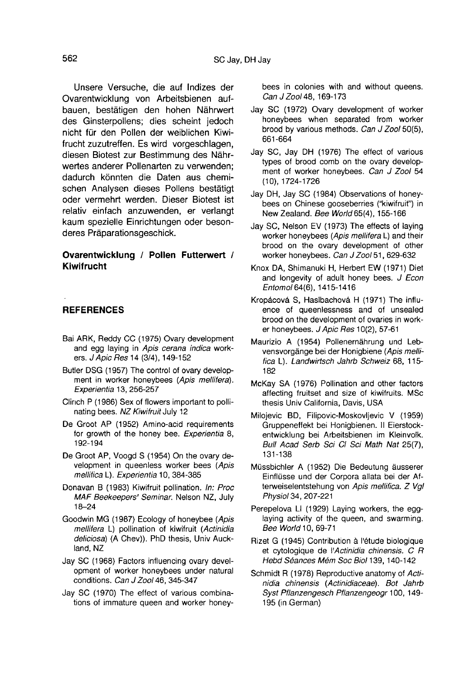Unsere Versuche, die auf Indizes der Ovarentwicklung von Arbeitsbienen aufbauen, bestätigen den hohen Nährwert des Ginsterpollens; dies scheint jedoch nicht für den Pollen der weiblichen Kiwifrucht zuzutreffen. Es wird vorgeschlagen, diesen Biotest zur Bestimmung des Nährwertes anderer Pollenarten zu verwenden; dadurch könnten die Daten aus chemischen Analysen dieses Pollens bestätigt oder vermehrt werden. Dieser Biotest ist relativ einfach anzuwenden, er verlangt kaum spezielle Einrichtungen oder besonderes Präparationsgeschick.

## Ovarentwicklung / Pollen Futterwert / Kiwifrucht

## **REFERENCES**

- Bai ARK, Reddy CC (1975) Ovary development and egg laying in Apis cerana indica workers. J Apic Res 14 (3/4), 149-152
- Butler DSG (1957) The control of ovary develop ment in worker honeybees (Apis mellifera). Experientia 13, 256-257
- Clinch P (1986) Sex of flowers important to pollinating bees. NZ Kiwifruit July 12
- De Groot AP (1952) Amino-acid requirements for growth of the honey bee. Experientia 8, 192-194
- De Groot AP, Voogd S (1954) On the ovary development in queenless worker bees (Apis mellifica L). Experientia 10, 384-385
- Donavan B (1983) Kiwifruit pollination. In: Proc MAF Beekeepers' Seminar. Nelson NZ, July 18-24
- Goodwin MG (1987) Ecology of honeybee (Apis mellifera L) pollination of kiwifruit (Actinidia deliciosa) (A Chev)). PhD thesis, Univ Auckland, NZ
- Jay SC (1968) Factors influencing ovary development of worker honeybees under natural conditions. Can J Zool 46, 345-347
- Jay SC (1970) The effect of various combinations of immature queen and worker honey-

bees in colonies with and without queens. Can J Zool 48, 169-173

- Jay SC (1972) Ovary development of worker honeybees when separated from worker brood by various methods. Can J Zool 50(5), 661-664
- Jay SC, Jay DH (1976) The effect of various types of brood comb on the ovary develop ment of worker honeybees. Can J Zool 54 (10), 1724-1726
- Jay DH, Jay SC (1984) Observations of honeybees on Chinese gooseberries ("kiwifruit") in New Zealand. Bee World 65(4), 155-166
- Jay SC, Nelson EV (1973) The effects of laying worker honeybees (Apis mellifera L) and their brood on the ovary development of other worker honeybees. Can J Zool 51, 629-632
- Knox DA, Shimanuki H, Herbert EW (1971) Diet and longevity of adult honey bees. J Econ Entomol 64(6), 1415-1416
- Kropácová S, Haslbachová H (1971) The influence of queenlessness and of unsealed brood on the development of ovaries in worker honeybees. J Apic Res 10(2), 57-61
- Maurizio A (1954) Pollenernährung und Lebvensvorgänge bei der Honigbiene (Apis mellifica L). Landwirtsch Jahrb Schweiz 68, 115- 182
- McKay SA (1976) Pollination and other factors affecting fruitset and size of kiwifruits. MSc thesis Univ California, Davis, USA
- Milojevic BD, Filipovic-Moskovljevic V (1959) Gruppeneffekt bei Honigbienen. II Eierstockentwicklung bei Arbeitsbienen im Kleinvolk. Bull Acad Serb Sci Cl Sci Math Nat 25(7), 131-138
- Müssbichler A (1952) Die Bedeutung äusserer Einflüsse und der Corpora allata bei der Afterweiselentstehung von Apis mellifica. Z Vgl Physiol 34, 207-221
- Perepelova LI (1929) Laying workers, the egglaying activity of the queen, and swarming. Bee World 10, 69-71
- Rizet G (1945) Contribution à l'étude biologique et cytologique de l'Actinidia chinensis. C R Hebd Séances Mém Soc Biol 139, 140-142
- Schmidt R (1978) Reproductive anatomy of Actinidia chinensis (Actinidiaceae). Bot Jahrb Syst Pflanzengesch Pflanzengeogr 100, 149- 195 (in German)